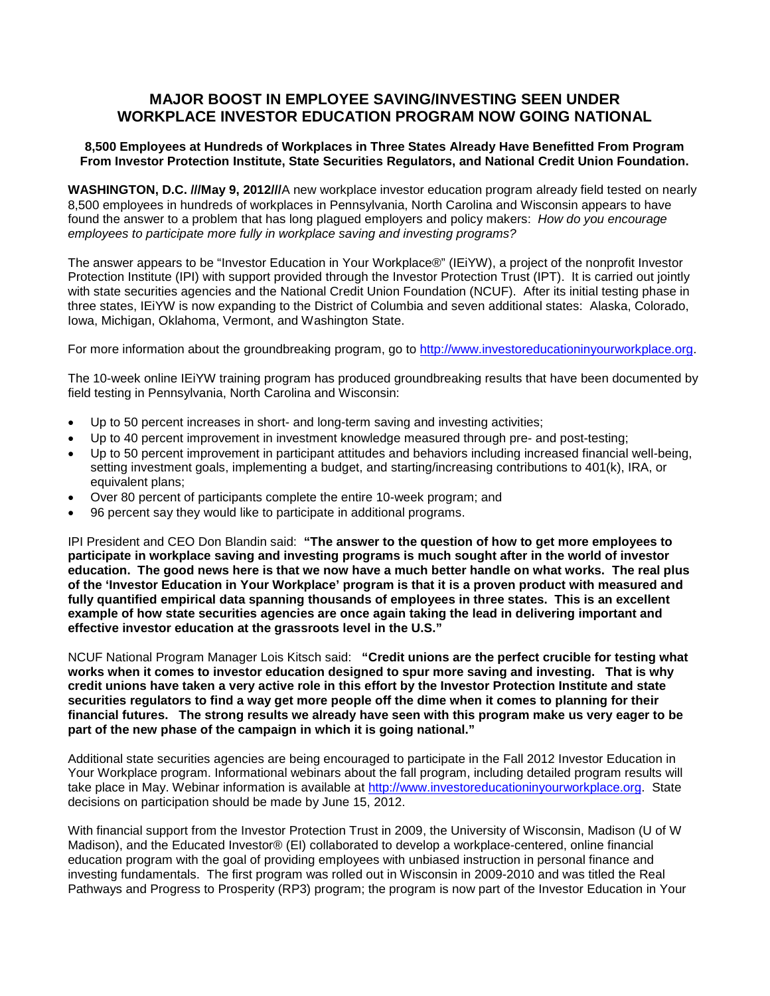## **MAJOR BOOST IN EMPLOYEE SAVING/INVESTING SEEN UNDER WORKPLACE INVESTOR EDUCATION PROGRAM NOW GOING NATIONAL**

## **8,500 Employees at Hundreds of Workplaces in Three States Already Have Benefitted From Program From Investor Protection Institute, State Securities Regulators, and National Credit Union Foundation.**

**WASHINGTON, D.C. ///May 9, 2012///**A new workplace investor education program already field tested on nearly 8,500 employees in hundreds of workplaces in Pennsylvania, North Carolina and Wisconsin appears to have found the answer to a problem that has long plagued employers and policy makers: *How do you encourage employees to participate more fully in workplace saving and investing programs?*

The answer appears to be "Investor Education in Your Workplace®" (IEiYW), a project of the nonprofit Investor Protection Institute (IPI) with support provided through the Investor Protection Trust (IPT). It is carried out jointly with state securities agencies and the National Credit Union Foundation (NCUF). After its initial testing phase in three states, IEiYW is now expanding to the District of Columbia and seven additional states: Alaska, Colorado, Iowa, Michigan, Oklahoma, Vermont, and Washington State.

For more information about the groundbreaking program, go to [http://www.investoreducationinyourworkplace.org.](http://www.investoreducationinyourworkplace.org/)

The 10-week online IEiYW training program has produced groundbreaking results that have been documented by field testing in Pennsylvania, North Carolina and Wisconsin:

- Up to 50 percent increases in short- and long-term saving and investing activities;
- Up to 40 percent improvement in investment knowledge measured through pre- and post-testing:
- Up to 50 percent improvement in participant attitudes and behaviors including increased financial well-being, setting investment goals, implementing a budget, and starting/increasing contributions to 401(k), IRA, or equivalent plans;
- Over 80 percent of participants complete the entire 10-week program; and
- 96 percent say they would like to participate in additional programs.

IPI President and CEO Don Blandin said: **"The answer to the question of how to get more employees to participate in workplace saving and investing programs is much sought after in the world of investor education. The good news here is that we now have a much better handle on what works. The real plus of the 'Investor Education in Your Workplace' program is that it is a proven product with measured and fully quantified empirical data spanning thousands of employees in three states. This is an excellent example of how state securities agencies are once again taking the lead in delivering important and effective investor education at the grassroots level in the U.S."**

NCUF National Program Manager Lois Kitsch said: **"Credit unions are the perfect crucible for testing what works when it comes to investor education designed to spur more saving and investing. That is why credit unions have taken a very active role in this effort by the Investor Protection Institute and state securities regulators to find a way get more people off the dime when it comes to planning for their financial futures. The strong results we already have seen with this program make us very eager to be part of the new phase of the campaign in which it is going national."**

Additional state securities agencies are being encouraged to participate in the Fall 2012 Investor Education in Your Workplace program. Informational webinars about the fall program, including detailed program results will take place in May. Webinar information is available at [http://www.investoreducationinyourworkplace.org.](http://www.investoreducationinyourworkplace.org/) State decisions on participation should be made by June 15, 2012.

With financial support from the Investor Protection Trust in 2009, the University of Wisconsin, Madison (U of W Madison), and the Educated Investor® (EI) collaborated to develop a workplace-centered, online financial education program with the goal of providing employees with unbiased instruction in personal finance and investing fundamentals. The first program was rolled out in Wisconsin in 2009-2010 and was titled the Real Pathways and Progress to Prosperity (RP3) program; the program is now part of the Investor Education in Your